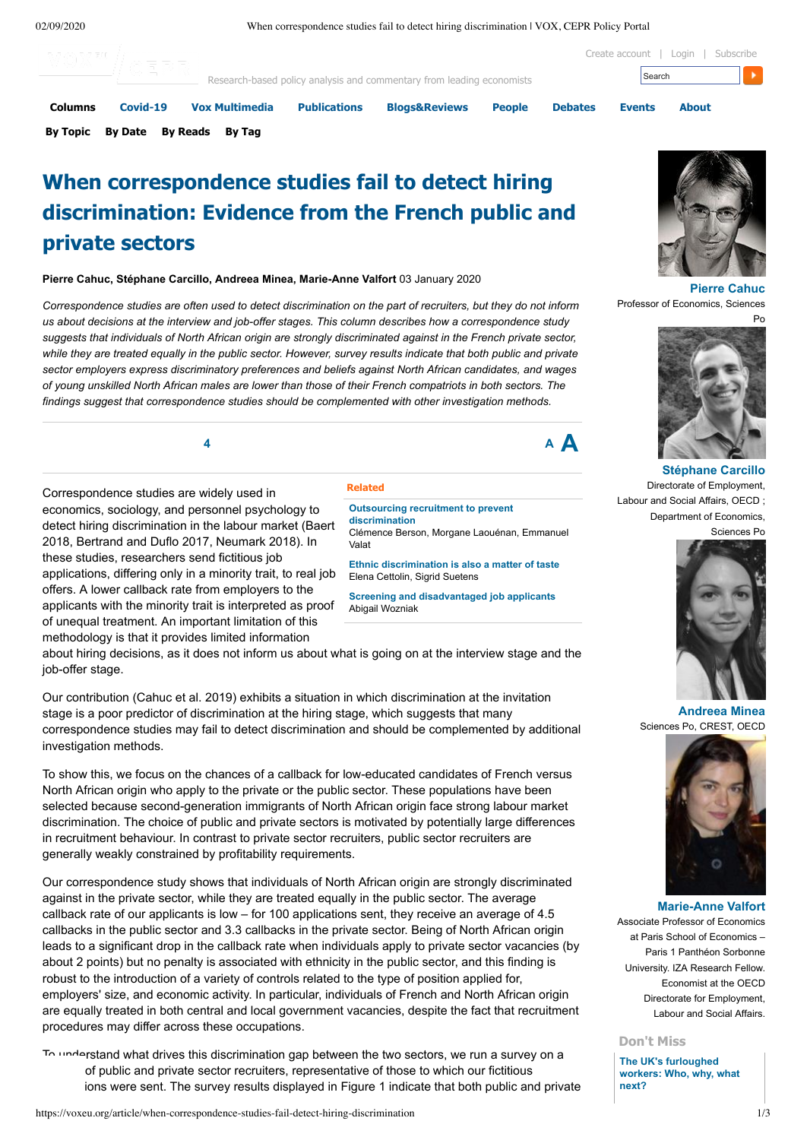02/09/2020 When correspondence studies fail to detect hiring discrimination | VOX, CEPR Policy Portal



# **When correspondence studies fail to detect hiring discrimination: Evidence from the French public and private sectors**

**Pierre Cahuc, Stéphane Carcillo, Andreea Minea, Marie-Anne Valfort** 03 January 2020

Correspondence studies are often used to detect discrimination on the part of recruiters, but they do not inform *us about decisions at the interview and job-offer stages. This column describes how a correspondence study* suggests that individuals of North African origin are strongly discriminated against in the French private sector, while they are treated equally in the public sector. However, survey results indicate that both public and private *sector employers express discriminatory preferences and beliefs against North African candidates, and wages* of young unskilled North African males are lower than those of their French compatriots in both sectors. The *findings suggest that correspondence studies should be complemented with other investigation methods.*

**<sup>4</sup> <sup>A</sup> A**

Correspondence studies are widely used in economics, sociology, and personnel psychology to detect hiring discrimination in the labour market (Baert 2018, Bertrand and Duflo 2017, Neumark 2018). In these studies, researchers send fictitious job applications, differing only in a minority trait, to real job offers. A lower callback rate from employers to the applicants with the minority trait is interpreted as proof of unequal treatment. An important limitation of this methodology is that it provides limited information

## **Related**

**Outsourcing recruitment to prevent [discrimination](https://voxeu.org/article/outsourcing-recruitment-prevent-discrimination)** Clémence Berson, Morgane Laouénan, Emmanuel Valat

**Ethnic [discrimination](https://voxeu.org/article/ethnic-discrimination-also-matter-taste) is also a matter of taste** Elena Cettolin, Sigrid Suetens

**Screening and [disadvantaged](https://voxeu.org/article/screening-and-disadvantaged-job-applicants) job applicants** Abigail Wozniak

about hiring decisions, as it does not inform us about what is going on at the interview stage and the job-offer stage.

Our contribution (Cahuc et al. 2019) exhibits a situation in which discrimination at the invitation stage is a poor predictor of discrimination at the hiring stage, which suggests that many correspondence studies may fail to detect discrimination and should be complemented by additional investigation methods.

To show this, we focus on the chances of a callback for low-educated candidates of French versus North African origin who apply to the private or the public sector. These populations have been selected because second-generation immigrants of North African origin face strong labour market discrimination. The choice of public and private sectors is motivated by potentially large differences in recruitment behaviour. In contrast to private sector recruiters, public sector recruiters are generally weakly constrained by profitability requirements.

Our correspondence study shows that individuals of North African origin are strongly discriminated against in the private sector, while they are treated equally in the public sector. The average callback rate of our applicants is low – for 100 applications sent, they receive an average of 4.5 callbacks in the public sector and 3.3 callbacks in the private sector. Being of North African origin leads to a significant drop in the callback rate when individuals apply to private sector vacancies (by about 2 points) but no penalty is associated with ethnicity in the public sector, and this finding is robust to the introduction of a variety of controls related to the type of position applied for, employers' size, and economic activity. In particular, individuals of French and North African origin are equally treated in both central and local government vacancies, despite the fact that recruitment procedures may differ across these occupations.

To understand what drives this discrimination gap between the two sectors, we run a survey on a of public and private sector recruiters, representative of those to which our fictitious ions were sent. The survey results displayed in Figure 1 indicate that both public and private



**[Pierre Cahuc](https://voxeu.org/user/219539)** Professor of Economics, Sciences



**[Stéphane Carcillo](https://voxeu.org/user/221327)** Directorate of Employment, Labour and Social Affairs, OECD ; Department of Economics, Sciences Po



**[Andreea Minea](https://voxeu.org/user/244784)** Sciences Po, CREST, OECD



#### **[Marie-Anne Valfort](https://voxeu.org/user/222368)**

Associate Professor of Economics at Paris School of Economics – Paris 1 Panthéon Sorbonne University. IZA Research Fellow. Economist at the OECD Directorate for Employment, Labour and Social Affairs.

# **Don't Miss**

**The UK's [furloughed](https://voxeu.org/content/uks-furloughed-workers-who-why-what-next) workers: Who, why, what next?**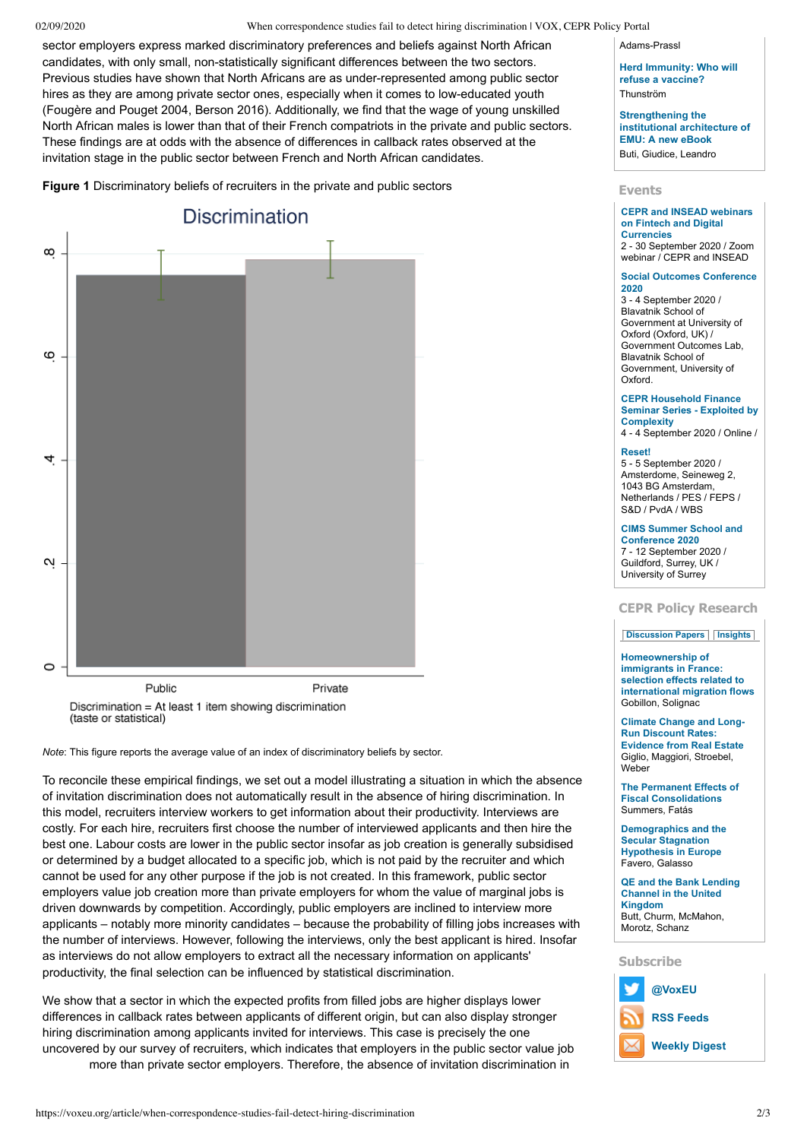## 02/09/2020 When correspondence studies fail to detect hiring discrimination | VOX, CEPR Policy Portal

sector employers express marked discriminatory preferences and beliefs against North African candidates, with only small, non-statistically significant differences between the two sectors. Previous studies have shown that North Africans are as under-represented among public sector hires as they are among private sector ones, especially when it comes to low-educated youth (Fougère and Pouget 2004, Berson 2016). Additionally, we find that the wage of young unskilled North African males is lower than that of their French compatriots in the private and public sectors. These findings are at odds with the absence of differences in callback rates observed at the invitation stage in the public sector between French and North African candidates.

**Figure 1** Discriminatory beliefs of recruiters in the private and public sectors



*Note*: This figure reports the average value of an index of discriminatory beliefs by sector.

To reconcile these empirical findings, we set out a model illustrating a situation in which the absence of invitation discrimination does not automatically result in the absence of hiring discrimination. In this model, recruiters interview workers to get information about their productivity. Interviews are costly. For each hire, recruiters first choose the number of interviewed applicants and then hire the best one. Labour costs are lower in the public sector insofar as job creation is generally subsidised or determined by a budget allocated to a specific job, which is not paid by the recruiter and which cannot be used for any other purpose if the job is not created. In this framework, public sector employers value job creation more than private employers for whom the value of marginal jobs is driven downwards by competition. Accordingly, public employers are inclined to interview more applicants – notably more minority candidates – because the probability of filling jobs increases with the number of interviews. However, following the interviews, only the best applicant is hired. Insofar as interviews do not allow employers to extract all the necessary information on applicants' productivity, the final selection can be influenced by statistical discrimination.

We show that a sector in which the expected profits from filled jobs are higher displays lower differences in callback rates between applicants of different origin, but can also display stronger hiring discrimination among applicants invited for interviews. This case is precisely the one uncovered by our survey of recruiters, which indicates that employers in the public sector value job more than private sector employers. Therefore, the absence of invitation discrimination in

Adams-Prassl

**Herd [Immunity:](https://voxeu.org/content/herd-immunity-who-will-refuse-vaccine) Who will refuse a vaccine?** Thunström

**[Strengthening](https://voxeu.org/article/strengthening-institutional-architecture-emu-new-ebook) the institutional architecture of EMU: A new eBook** Buti, Giudice, Leandro

# **Events**

**CEPR and INSEAD webinars on Fintech and Digital [Currencies](https://voxeu.org/events/cepr-and-insead-webinars-fintech-and-digital-currencies)**

2 - 30 September 2020 / Zoom webinar / CEPR and INSEAD

#### **Social Outcomes [Conference](https://voxeu.org/events/social-outcomes-conference-2020) 2020**

3 - 4 September 2020 / Blavatnik School of Government at University of Oxford (Oxford, UK) / Government Outcomes Lab, Blavatnik School of Government, University of Oxford.

#### **CEPR Household Finance Seminar Series - Exploited by [Complexity](https://voxeu.org/events/cepr-household-finance-seminar-series-exploited-complexity)**

4 - 4 September 2020 / Online /

#### **[Reset!](https://voxeu.org/events/reset)**

5 - 5 September 2020 / Amsterdome, Seineweg 2, 1043 BG Amsterdam, Netherlands / PES / FEPS / S&D / PvdA / WBS

# **CIMS Summer School and**

**[Conference](https://voxeu.org/events/cims-summer-school-and-conference-2020-1) 2020** 7 - 12 September 2020 / Guildford, Surrey, UK / University of Surrey

# **CEPR Policy Research**

## **[Discussion](https://voxeu.org/article/when-correspondence-studies-fail-detect-hiring-discrimination?qt-quicktabs_cepr_policy_research=0#qt-quicktabs_cepr_policy_research) Papers [Insights](https://voxeu.org/article/when-correspondence-studies-fail-detect-hiring-discrimination?qt-quicktabs_cepr_policy_research=1#qt-quicktabs_cepr_policy_research)**

## **[Homeownership](https://voxeu.org/epubs/cepr-dps/homeownership-immigrants-france-selection-effects-related-international-migration-flows) of**

**immigrants in France: selection effects related to international migration flows** Gobillon, Solignac

**Climate Change and Long-Run Discount Rates: [Evidence](https://voxeu.org/epubs/cepr-dps/climate-change-and-long-run-discount-rates-evidence-real-estate) from Real Estate** Giglio, Maggiori, Stroebel, Weber

**The Permanent Effects of Fiscal [Consolidations](https://voxeu.org/epubs/cepr-dps/permanent-effects-fiscal-consolidations)** Summers, Fatás

**[Demographics](https://voxeu.org/epubs/cepr-dps/demographics-and-secular-stagnation-hypothesis-europe) and the Secular Stagnation Hypothesis in Europe** Favero, Galasso

**QE and the Bank Lending Channel in the United [Kingdom](https://voxeu.org/epubs/cepr-dps/qe-and-bank-lending-channel-united-kingdom)** Butt, Churm, McMahon, Morotz, Schanz

# **Subscribe**